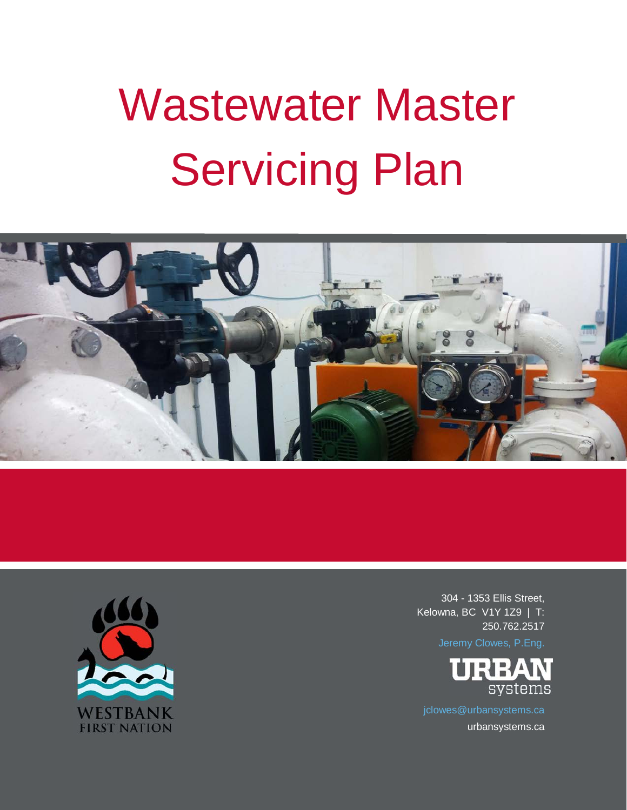# Wastewater Master Servicing Plan





304 - 1353 Ellis Street, Kelowna, BC V1Y 1Z9 | T: 250.762.2517



urbansystems.ca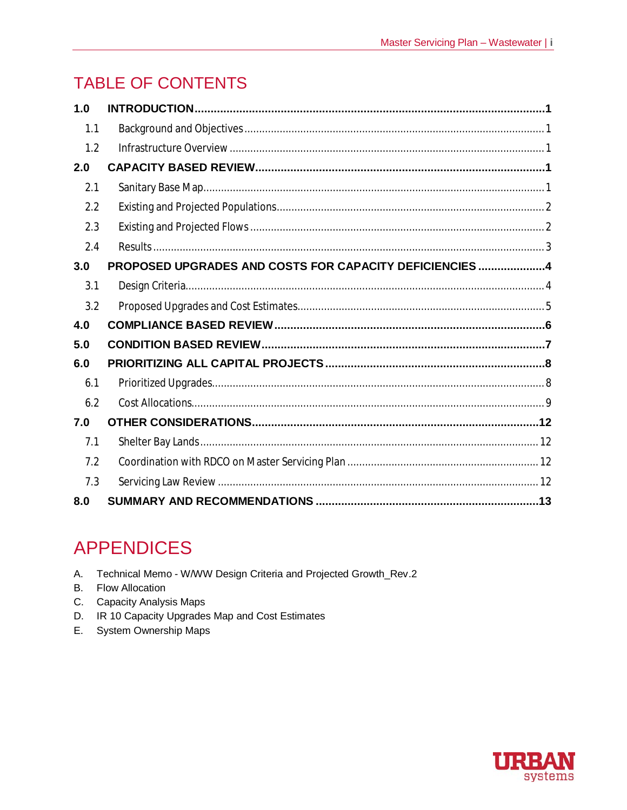# **TABLE OF CONTENTS**

| 1.0 |                                                         |
|-----|---------------------------------------------------------|
| 1.1 |                                                         |
| 1.2 |                                                         |
| 2.0 |                                                         |
| 2.1 |                                                         |
| 2.2 |                                                         |
| 2.3 |                                                         |
| 2.4 |                                                         |
| 3.0 | PROPOSED UPGRADES AND COSTS FOR CAPACITY DEFICIENCIES 4 |
| 3.1 |                                                         |
| 3.2 |                                                         |
| 4.0 |                                                         |
| 5.0 |                                                         |
| 6.0 |                                                         |
| 6.1 |                                                         |
| 6.2 |                                                         |
| 7.0 |                                                         |
| 7.1 |                                                         |
| 7.2 |                                                         |
| 7.3 |                                                         |
| 8.0 |                                                         |

# **APPENDICES**

- A. Technical Memo W/WW Design Criteria and Projected Growth\_Rev.2
- **B. Flow Allocation**
- C. Capacity Analysis Maps
- D. IR 10 Capacity Upgrades Map and Cost Estimates
- E. System Ownership Maps

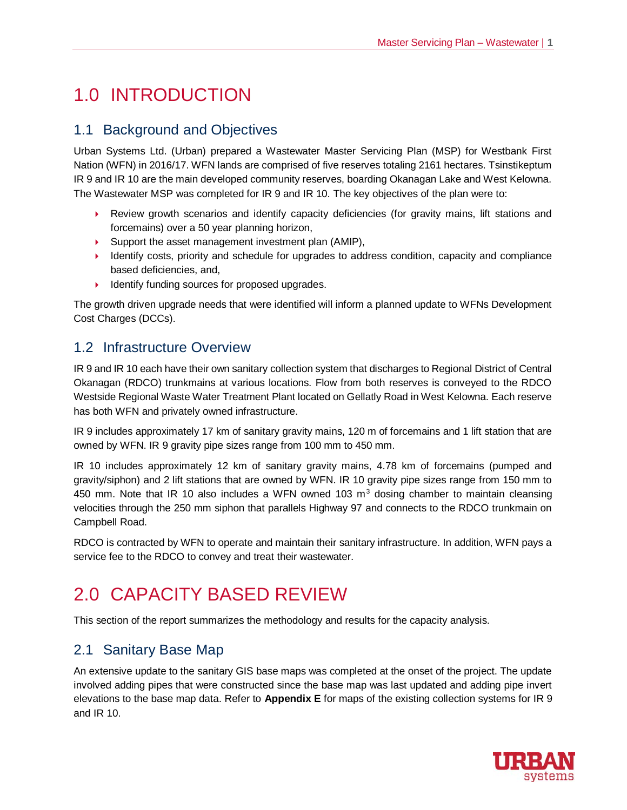# 1.0 INTRODUCTION

## 1.1 Background and Objectives

Urban Systems Ltd. (Urban) prepared a Wastewater Master Servicing Plan (MSP) for Westbank First Nation (WFN) in 2016/17. WFN lands are comprised of five reserves totaling 2161 hectares. Tsinstikeptum IR 9 and IR 10 are the main developed community reserves, boarding Okanagan Lake and West Kelowna. The Wastewater MSP was completed for IR 9 and IR 10. The key objectives of the plan were to:

- 4 Review growth scenarios and identify capacity deficiencies (for gravity mains, lift stations and forcemains) over a 50 year planning horizon,
- ▶ Support the asset management investment plan (AMIP),
- ▶ Identify costs, priority and schedule for upgrades to address condition, capacity and compliance based deficiencies, and,
- $\blacktriangleright$  Identify funding sources for proposed upgrades.

The growth driven upgrade needs that were identified will inform a planned update to WFNs Development Cost Charges (DCCs).

## 1.2 Infrastructure Overview

IR 9 and IR 10 each have their own sanitary collection system that discharges to Regional District of Central Okanagan (RDCO) trunkmains at various locations. Flow from both reserves is conveyed to the RDCO Westside Regional Waste Water Treatment Plant located on Gellatly Road in West Kelowna. Each reserve has both WFN and privately owned infrastructure.

IR 9 includes approximately 17 km of sanitary gravity mains, 120 m of forcemains and 1 lift station that are owned by WFN. IR 9 gravity pipe sizes range from 100 mm to 450 mm.

IR 10 includes approximately 12 km of sanitary gravity mains, 4.78 km of forcemains (pumped and gravity/siphon) and 2 lift stations that are owned by WFN. IR 10 gravity pipe sizes range from 150 mm to 450 mm. Note that IR 10 also includes a WFN owned 103  $m<sup>3</sup>$  dosing chamber to maintain cleansing velocities through the 250 mm siphon that parallels Highway 97 and connects to the RDCO trunkmain on Campbell Road.

RDCO is contracted by WFN to operate and maintain their sanitary infrastructure. In addition, WFN pays a service fee to the RDCO to convey and treat their wastewater.

# 2.0 CAPACITY BASED REVIEW

This section of the report summarizes the methodology and results for the capacity analysis.

## 2.1 Sanitary Base Map

An extensive update to the sanitary GIS base maps was completed at the onset of the project. The update involved adding pipes that were constructed since the base map was last updated and adding pipe invert elevations to the base map data. Refer to **Appendix E** for maps of the existing collection systems for IR 9 and IR 10.

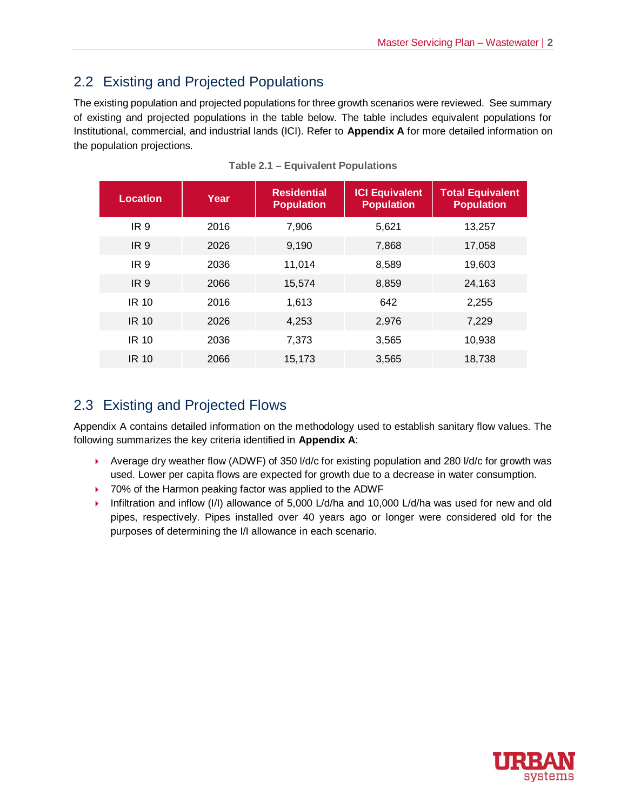## 2.2 Existing and Projected Populations

The existing population and projected populations for three growth scenarios were reviewed. See summary of existing and projected populations in the table below. The table includes equivalent populations for Institutional, commercial, and industrial lands (ICI). Refer to **Appendix A** for more detailed information on the population projections.

| Location        | <b>Year</b> | <b>Residential</b><br><b>Population</b> | <b>ICI Equivalent</b><br><b>Population</b> | <b>Total Equivalent</b><br><b>Population</b> |
|-----------------|-------------|-----------------------------------------|--------------------------------------------|----------------------------------------------|
| IR <sub>9</sub> | 2016        | 7,906                                   | 5,621                                      | 13,257                                       |
| IR <sub>9</sub> | 2026        | 9,190                                   | 7,868                                      | 17,058                                       |
| IR 9            | 2036        | 11,014                                  | 8,589                                      | 19,603                                       |
| IR <sub>9</sub> | 2066        | 15.574                                  | 8,859                                      | 24,163                                       |
| <b>IR 10</b>    | 2016        | 1.613                                   | 642                                        | 2,255                                        |
| <b>IR 10</b>    | 2026        | 4,253                                   | 2,976                                      | 7,229                                        |
| IR 10           | 2036        | 7,373                                   | 3,565                                      | 10,938                                       |
| <b>IR 10</b>    | 2066        | 15,173                                  | 3,565                                      | 18,738                                       |

**Table 2.1 – Equivalent Populations**

## 2.3 Existing and Projected Flows

Appendix A contains detailed information on the methodology used to establish sanitary flow values. The following summarizes the key criteria identified in **Appendix A**:

- $\blacktriangleright$  Average dry weather flow (ADWF) of 350 l/d/c for existing population and 280 l/d/c for growth was used. Lower per capita flows are expected for growth due to a decrease in water consumption.
- ▶ 70% of the Harmon peaking factor was applied to the ADWF
- 4 Infiltration and inflow (I/I) allowance of 5,000 L/d/ha and 10,000 L/d/ha was used for new and old pipes, respectively. Pipes installed over 40 years ago or longer were considered old for the purposes of determining the I/I allowance in each scenario.

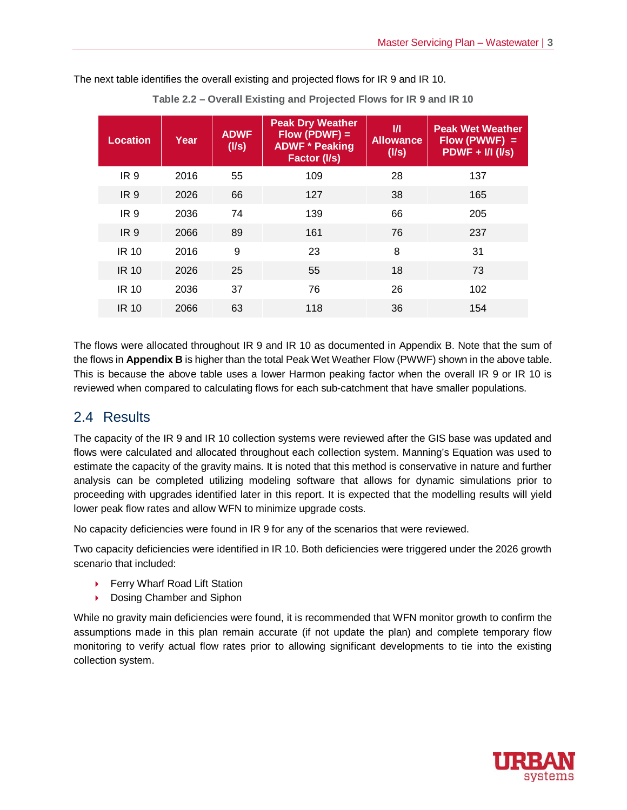| <b>Location</b> | Year | <b>ADWF</b><br>(1/s) | <b>Peak Dry Weather</b><br>$Flow (PDWF) =$<br><b>ADWF * Peaking</b><br>Factor (I/s) | $\mathbf{v}$<br><b>Allowance</b><br>(1/s) | <b>Peak Wet Weather</b><br>$Flow (PWWF) =$<br>$PDWF + I/I (I/s)$ |
|-----------------|------|----------------------|-------------------------------------------------------------------------------------|-------------------------------------------|------------------------------------------------------------------|
| IR 9            | 2016 | 55                   | 109                                                                                 | 28                                        | 137                                                              |
| IR <sub>9</sub> | 2026 | 66                   | 127                                                                                 | 38                                        | 165                                                              |
| IR <sub>9</sub> | 2036 | 74                   | 139                                                                                 | 66                                        | 205                                                              |
| IR <sub>9</sub> | 2066 | 89                   | 161                                                                                 | 76                                        | 237                                                              |
| <b>IR 10</b>    | 2016 | 9                    | 23                                                                                  | 8                                         | 31                                                               |
| <b>IR 10</b>    | 2026 | 25                   | 55                                                                                  | 18                                        | 73                                                               |
| <b>IR 10</b>    | 2036 | 37                   | 76                                                                                  | 26                                        | 102                                                              |
| <b>IR 10</b>    | 2066 | 63                   | 118                                                                                 | 36                                        | 154                                                              |

The next table identifies the overall existing and projected flows for IR 9 and IR 10.

**Table 2.2 – Overall Existing and Projected Flows for IR 9 and IR 10**

The flows were allocated throughout IR 9 and IR 10 as documented in Appendix B. Note that the sum of the flows in **Appendix B** is higher than the total Peak Wet Weather Flow (PWWF) shown in the above table. This is because the above table uses a lower Harmon peaking factor when the overall IR 9 or IR 10 is reviewed when compared to calculating flows for each sub-catchment that have smaller populations.

## 2.4 Results

The capacity of the IR 9 and IR 10 collection systems were reviewed after the GIS base was updated and flows were calculated and allocated throughout each collection system. Manning's Equation was used to estimate the capacity of the gravity mains. It is noted that this method is conservative in nature and further analysis can be completed utilizing modeling software that allows for dynamic simulations prior to proceeding with upgrades identified later in this report. It is expected that the modelling results will yield lower peak flow rates and allow WFN to minimize upgrade costs.

No capacity deficiencies were found in IR 9 for any of the scenarios that were reviewed.

Two capacity deficiencies were identified in IR 10. Both deficiencies were triggered under the 2026 growth scenario that included:

- ▶ Ferry Wharf Road Lift Station
- ▶ Dosing Chamber and Siphon

While no gravity main deficiencies were found, it is recommended that WFN monitor growth to confirm the assumptions made in this plan remain accurate (if not update the plan) and complete temporary flow monitoring to verify actual flow rates prior to allowing significant developments to tie into the existing collection system.

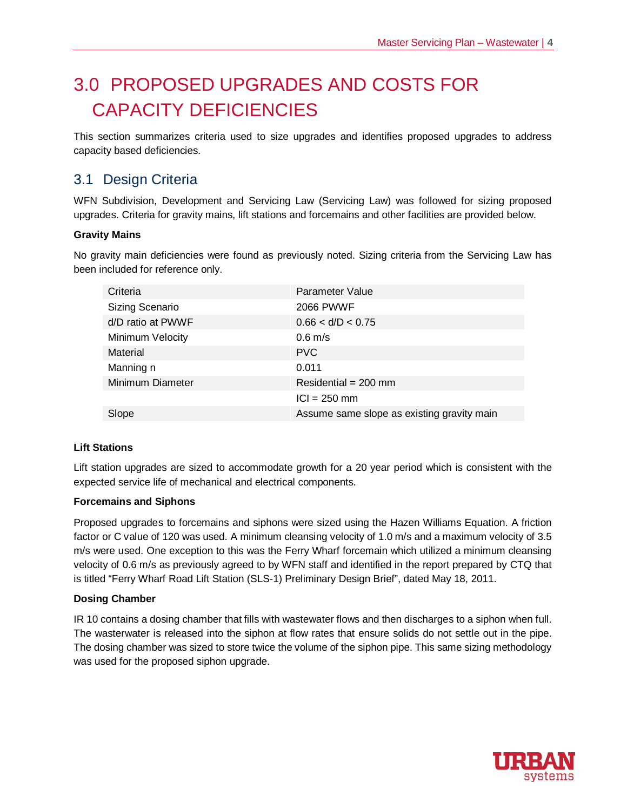# 3.0 PROPOSED UPGRADES AND COSTS FOR CAPACITY DEFICIENCIES

This section summarizes criteria used to size upgrades and identifies proposed upgrades to address capacity based deficiencies.

## 3.1 Design Criteria

WFN Subdivision, Development and Servicing Law (Servicing Law) was followed for sizing proposed upgrades. Criteria for gravity mains, lift stations and forcemains and other facilities are provided below.

#### **Gravity Mains**

No gravity main deficiencies were found as previously noted. Sizing criteria from the Servicing Law has been included for reference only.

| Criteria          | Parameter Value                            |
|-------------------|--------------------------------------------|
| Sizing Scenario   | <b>2066 PWWF</b>                           |
| d/D ratio at PWWF | 0.66 < d/D < 0.75                          |
| Minimum Velocity  | $0.6$ m/s                                  |
| Material          | <b>PVC</b>                                 |
| Manning n         | 0.011                                      |
| Minimum Diameter  | Residential = $200$ mm                     |
|                   | $ CI  = 250$ mm                            |
| Slope             | Assume same slope as existing gravity main |

#### **Lift Stations**

Lift station upgrades are sized to accommodate growth for a 20 year period which is consistent with the expected service life of mechanical and electrical components.

#### **Forcemains and Siphons**

Proposed upgrades to forcemains and siphons were sized using the Hazen Williams Equation. A friction factor or C value of 120 was used. A minimum cleansing velocity of 1.0 m/s and a maximum velocity of 3.5 m/s were used. One exception to this was the Ferry Wharf forcemain which utilized a minimum cleansing velocity of 0.6 m/s as previously agreed to by WFN staff and identified in the report prepared by CTQ that is titled "Ferry Wharf Road Lift Station (SLS-1) Preliminary Design Brief", dated May 18, 2011.

#### **Dosing Chamber**

IR 10 contains a dosing chamber that fills with wastewater flows and then discharges to a siphon when full. The wasterwater is released into the siphon at flow rates that ensure solids do not settle out in the pipe. The dosing chamber was sized to store twice the volume of the siphon pipe. This same sizing methodology was used for the proposed siphon upgrade.

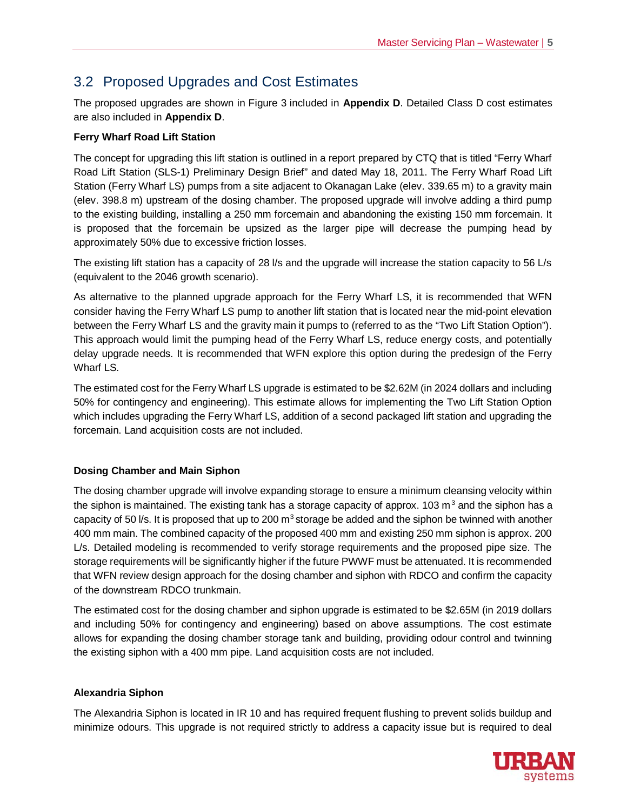# 3.2 Proposed Upgrades and Cost Estimates

The proposed upgrades are shown in Figure 3 included in **Appendix D**. Detailed Class D cost estimates are also included in **Appendix D**.

#### **Ferry Wharf Road Lift Station**

The concept for upgrading this lift station is outlined in a report prepared by CTQ that is titled "Ferry Wharf Road Lift Station (SLS-1) Preliminary Design Brief" and dated May 18, 2011. The Ferry Wharf Road Lift Station (Ferry Wharf LS) pumps from a site adjacent to Okanagan Lake (elev. 339.65 m) to a gravity main (elev. 398.8 m) upstream of the dosing chamber. The proposed upgrade will involve adding a third pump to the existing building, installing a 250 mm forcemain and abandoning the existing 150 mm forcemain. It is proposed that the forcemain be upsized as the larger pipe will decrease the pumping head by approximately 50% due to excessive friction losses.

The existing lift station has a capacity of 28 l/s and the upgrade will increase the station capacity to 56 L/s (equivalent to the 2046 growth scenario).

As alternative to the planned upgrade approach for the Ferry Wharf LS, it is recommended that WFN consider having the Ferry Wharf LS pump to another lift station that is located near the mid-point elevation between the Ferry Wharf LS and the gravity main it pumps to (referred to as the "Two Lift Station Option"). This approach would limit the pumping head of the Ferry Wharf LS, reduce energy costs, and potentially delay upgrade needs. It is recommended that WFN explore this option during the predesign of the Ferry Wharf LS.

The estimated cost for the Ferry Wharf LS upgrade is estimated to be \$2.62M (in 2024 dollars and including 50% for contingency and engineering). This estimate allows for implementing the Two Lift Station Option which includes upgrading the Ferry Wharf LS, addition of a second packaged lift station and upgrading the forcemain. Land acquisition costs are not included.

#### **Dosing Chamber and Main Siphon**

The dosing chamber upgrade will involve expanding storage to ensure a minimum cleansing velocity within the siphon is maintained. The existing tank has a storage capacity of approx. 103 m<sup>3</sup> and the siphon has a capacity of 50 l/s. It is proposed that up to 200  $m<sup>3</sup>$  storage be added and the siphon be twinned with another 400 mm main. The combined capacity of the proposed 400 mm and existing 250 mm siphon is approx. 200 L/s. Detailed modeling is recommended to verify storage requirements and the proposed pipe size. The storage requirements will be significantly higher if the future PWWF must be attenuated. It is recommended that WFN review design approach for the dosing chamber and siphon with RDCO and confirm the capacity of the downstream RDCO trunkmain.

The estimated cost for the dosing chamber and siphon upgrade is estimated to be \$2.65M (in 2019 dollars and including 50% for contingency and engineering) based on above assumptions. The cost estimate allows for expanding the dosing chamber storage tank and building, providing odour control and twinning the existing siphon with a 400 mm pipe. Land acquisition costs are not included.

#### **Alexandria Siphon**

The Alexandria Siphon is located in IR 10 and has required frequent flushing to prevent solids buildup and minimize odours. This upgrade is not required strictly to address a capacity issue but is required to deal

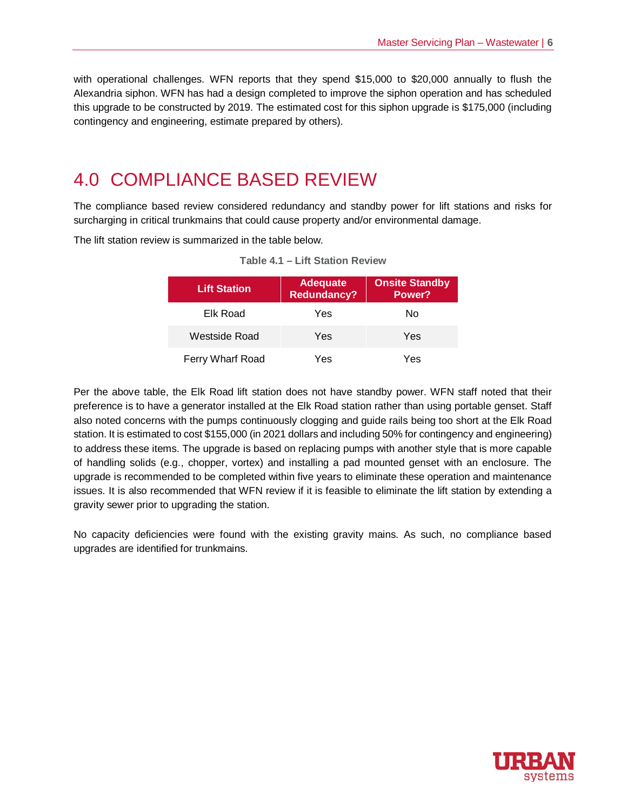with operational challenges. WFN reports that they spend \$15,000 to \$20,000 annually to flush the Alexandria siphon. WFN has had a design completed to improve the siphon operation and has scheduled this upgrade to be constructed by 2019. The estimated cost for this siphon upgrade is \$175,000 (including contingency and engineering, estimate prepared by others).

# 4.0 COMPLIANCE BASED REVIEW

The compliance based review considered redundancy and standby power for lift stations and risks for surcharging in critical trunkmains that could cause property and/or environmental damage.

The lift station review is summarized in the table below.

| <b>Lift Station</b> | <b>Adequate</b><br><b>Redundancy?</b> | <b>Onsite Standby</b><br>Power? |
|---------------------|---------------------------------------|---------------------------------|
| Elk Road            | Yes                                   | No                              |
| Westside Road       | Yes                                   | Yes                             |
| Ferry Wharf Road    | Yes                                   | Yes                             |

**Table 4.1 – Lift Station Review**

Per the above table, the Elk Road lift station does not have standby power. WFN staff noted that their preference is to have a generator installed at the Elk Road station rather than using portable genset. Staff also noted concerns with the pumps continuously clogging and guide rails being too short at the Elk Road station. It is estimated to cost \$155,000 (in 2021 dollars and including 50% for contingency and engineering) to address these items. The upgrade is based on replacing pumps with another style that is more capable of handling solids (e.g., chopper, vortex) and installing a pad mounted genset with an enclosure. The upgrade is recommended to be completed within five years to eliminate these operation and maintenance issues. It is also recommended that WFN review if it is feasible to eliminate the lift station by extending a gravity sewer prior to upgrading the station.

No capacity deficiencies were found with the existing gravity mains. As such, no compliance based upgrades are identified for trunkmains.

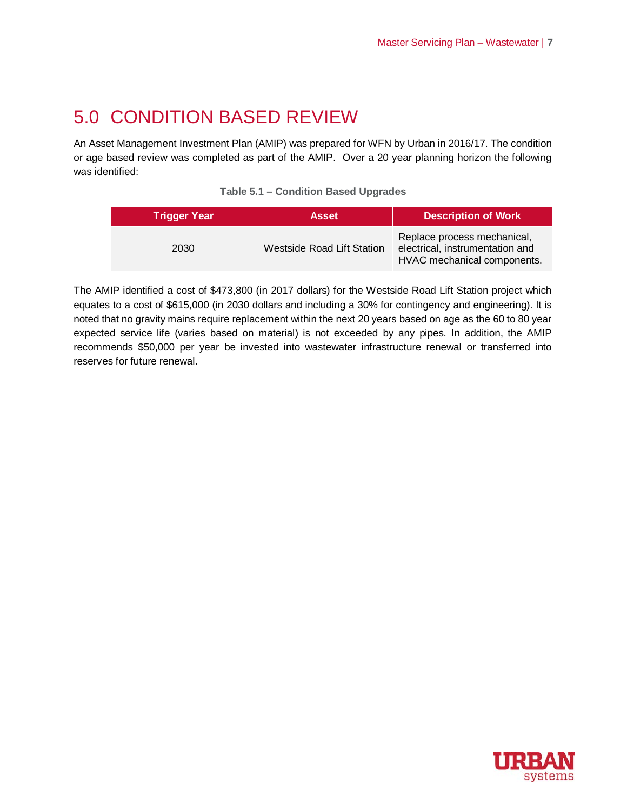# 5.0 CONDITION BASED REVIEW

An Asset Management Investment Plan (AMIP) was prepared for WFN by Urban in 2016/17. The condition or age based review was completed as part of the AMIP. Over a 20 year planning horizon the following was identified:

| <b>Table 5.1 - Condition Based Upgrades</b> |  |  |  |  |
|---------------------------------------------|--|--|--|--|
|---------------------------------------------|--|--|--|--|

| <b>Trigger Year</b> | <b>Asset</b>                      | <b>Description of Work</b>                                                                    |
|---------------------|-----------------------------------|-----------------------------------------------------------------------------------------------|
| 2030                | <b>Westside Road Lift Station</b> | Replace process mechanical,<br>electrical, instrumentation and<br>HVAC mechanical components. |

The AMIP identified a cost of \$473,800 (in 2017 dollars) for the Westside Road Lift Station project which equates to a cost of \$615,000 (in 2030 dollars and including a 30% for contingency and engineering). It is noted that no gravity mains require replacement within the next 20 years based on age as the 60 to 80 year expected service life (varies based on material) is not exceeded by any pipes. In addition, the AMIP recommends \$50,000 per year be invested into wastewater infrastructure renewal or transferred into reserves for future renewal.

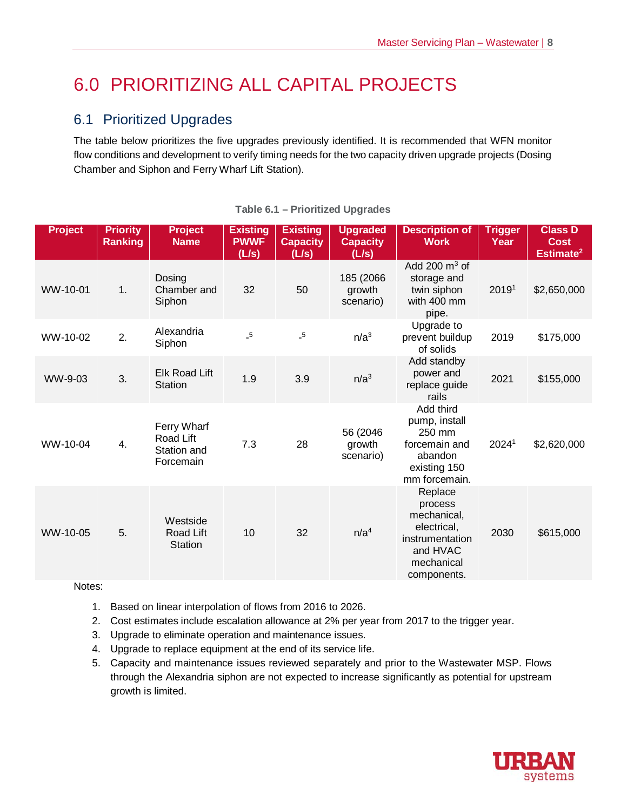# 6.0 PRIORITIZING ALL CAPITAL PROJECTS

# 6.1 Prioritized Upgrades

The table below prioritizes the five upgrades previously identified. It is recommended that WFN monitor flow conditions and development to verify timing needs for the two capacity driven upgrade projects (Dosing Chamber and Siphon and Ferry Wharf Lift Station).

| <b>Project</b> | <b>Priority</b><br><b>Ranking</b> | <b>Project</b><br><b>Name</b>                        | <b>Existing</b><br><b>PWWF</b><br>(L/s) | <b>Existing</b><br><b>Capacity</b><br>(L/s) | <b>Upgraded</b><br><b>Capacity</b><br>(L/s) | <b>Description of</b><br><b>Work</b>                                                                         | <b>Trigger</b><br>Year | <b>Class D</b><br><b>Cost</b><br>Estimate <sup>2</sup> |
|----------------|-----------------------------------|------------------------------------------------------|-----------------------------------------|---------------------------------------------|---------------------------------------------|--------------------------------------------------------------------------------------------------------------|------------------------|--------------------------------------------------------|
| WW-10-01       | 1.                                | Dosing<br>Chamber and<br>Siphon                      | 32                                      | 50                                          | 185 (2066)<br>growth<br>scenario)           | Add 200 $\mathrm{m}^3$ of<br>storage and<br>twin siphon<br>with 400 mm<br>pipe.                              | 20191                  | \$2,650,000                                            |
| WW-10-02       | 2.                                | Alexandria<br>Siphon                                 | $\_5$                                   | $\_5$                                       | n/a <sup>3</sup>                            | Upgrade to<br>prevent buildup<br>of solids                                                                   | 2019                   | \$175,000                                              |
| WW-9-03        | 3.                                | Elk Road Lift<br><b>Station</b>                      | 1.9                                     | 3.9                                         | n/a <sup>3</sup>                            | Add standby<br>power and<br>replace guide<br>rails                                                           | 2021                   | \$155,000                                              |
| WW-10-04       | 4.                                | Ferry Wharf<br>Road Lift<br>Station and<br>Forcemain | 7.3                                     | 28                                          | 56 (2046)<br>growth<br>scenario)            | Add third<br>pump, install<br>250 mm<br>forcemain and<br>abandon<br>existing 150<br>mm forcemain.            | 20241                  | \$2,620,000                                            |
| WW-10-05       | 5.                                | Westside<br>Road Lift<br><b>Station</b>              | 10                                      | 32                                          | n/a <sup>4</sup>                            | Replace<br>process<br>mechanical,<br>electrical,<br>instrumentation<br>and HVAC<br>mechanical<br>components. | 2030                   | \$615,000                                              |

#### **Table 6.1 – Prioritized Upgrades**

Notes:

- 1. Based on linear interpolation of flows from 2016 to 2026.
- 2. Cost estimates include escalation allowance at 2% per year from 2017 to the trigger year.
- 3. Upgrade to eliminate operation and maintenance issues.
- 4. Upgrade to replace equipment at the end of its service life.
- 5. Capacity and maintenance issues reviewed separately and prior to the Wastewater MSP. Flows through the Alexandria siphon are not expected to increase significantly as potential for upstream growth is limited.

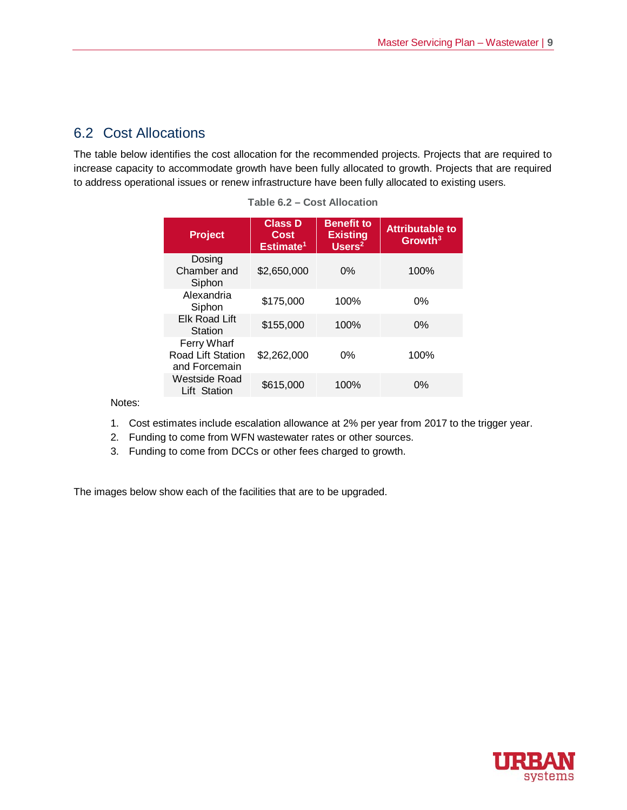## 6.2 Cost Allocations

The table below identifies the cost allocation for the recommended projects. Projects that are required to increase capacity to accommodate growth have been fully allocated to growth. Projects that are required to address operational issues or renew infrastructure have been fully allocated to existing users.

| <b>Project</b>                                    | <b>Class D</b><br>Cost<br>Estimate <sup>1</sup> | <b>Benefit to</b><br><b>Existing</b><br>Users <sup>2</sup> | <b>Attributable to</b><br>Growth <sup>3</sup> |
|---------------------------------------------------|-------------------------------------------------|------------------------------------------------------------|-----------------------------------------------|
| Dosing<br>Chamber and<br>Siphon                   | \$2,650,000                                     | $0\%$                                                      | 100%                                          |
| Alexandria<br>Siphon                              | \$175,000                                       | 100%                                                       | 0%                                            |
| <b>Elk Road Lift</b><br>Station                   | \$155,000                                       | 100%                                                       | 0%                                            |
| Ferry Wharf<br>Road Lift Station<br>and Forcemain | \$2,262,000                                     | 0%                                                         | 100%                                          |
| Westside Road<br>Lift Station                     | \$615,000                                       | 100%                                                       | $0\%$                                         |

**Table 6.2 – Cost Allocation**

Notes:

- 1. Cost estimates include escalation allowance at 2% per year from 2017 to the trigger year.
- 2. Funding to come from WFN wastewater rates or other sources.
- 3. Funding to come from DCCs or other fees charged to growth.

The images below show each of the facilities that are to be upgraded.

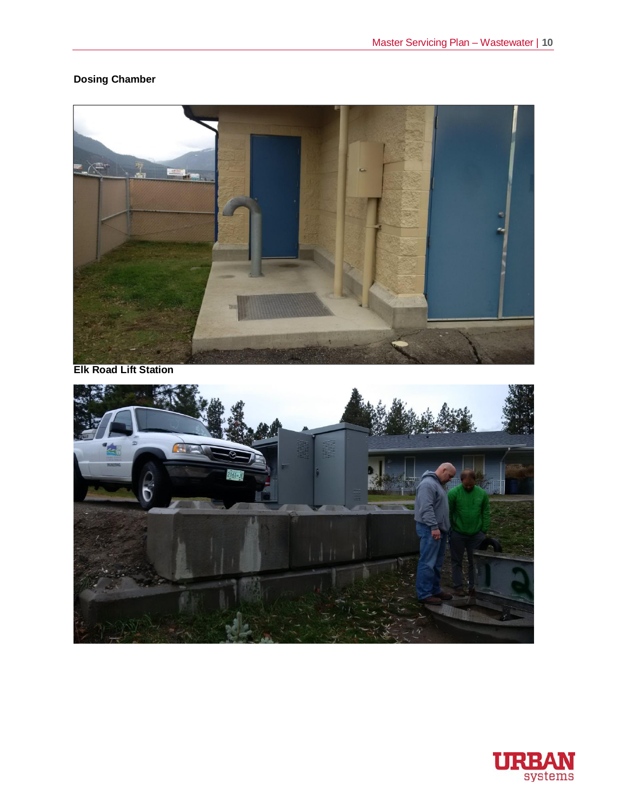## **Dosing Chamber**



**Elk Road Lift Station**



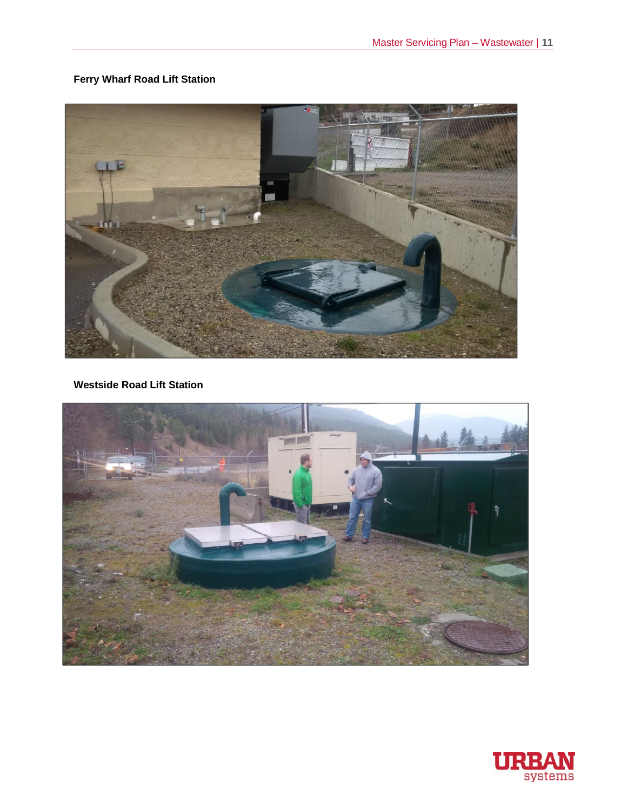## **Ferry Wharf Road Lift Station**



**Westside Road Lift Station**



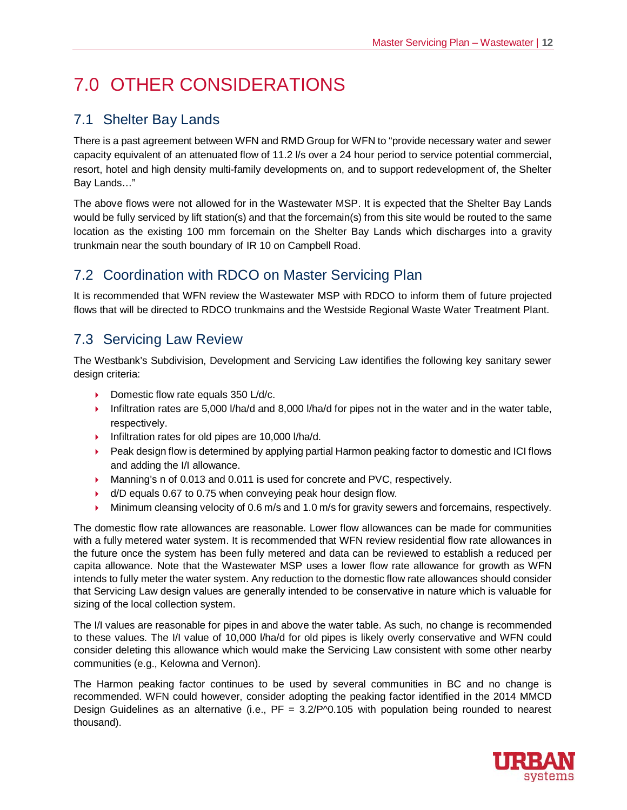# 7.0 OTHER CONSIDERATIONS

# 7.1 Shelter Bay Lands

There is a past agreement between WFN and RMD Group for WFN to "provide necessary water and sewer capacity equivalent of an attenuated flow of 11.2 l/s over a 24 hour period to service potential commercial, resort, hotel and high density multi-family developments on, and to support redevelopment of, the Shelter Bay Lands…"

The above flows were not allowed for in the Wastewater MSP. It is expected that the Shelter Bay Lands would be fully serviced by lift station(s) and that the forcemain(s) from this site would be routed to the same location as the existing 100 mm forcemain on the Shelter Bay Lands which discharges into a gravity trunkmain near the south boundary of IR 10 on Campbell Road.

# 7.2 Coordination with RDCO on Master Servicing Plan

It is recommended that WFN review the Wastewater MSP with RDCO to inform them of future projected flows that will be directed to RDCO trunkmains and the Westside Regional Waste Water Treatment Plant.

## 7.3 Servicing Law Review

The Westbank's Subdivision, Development and Servicing Law identifies the following key sanitary sewer design criteria:

- $\triangleright$  Domestic flow rate equals 350 L/d/c.
- 4 Infiltration rates are 5,000 l/ha/d and 8,000 l/ha/d for pipes not in the water and in the water table, respectively.
- ▶ Infiltration rates for old pipes are 10,000 l/ha/d.
- ► Peak design flow is determined by applying partial Harmon peaking factor to domestic and ICI flows and adding the I/I allowance.
- ▶ Manning's n of 0.013 and 0.011 is used for concrete and PVC, respectively.
- $\bullet$  d/D equals 0.67 to 0.75 when conveying peak hour design flow.
- $\blacktriangleright$  Minimum cleansing velocity of 0.6 m/s and 1.0 m/s for gravity sewers and forcemains, respectively.

The domestic flow rate allowances are reasonable. Lower flow allowances can be made for communities with a fully metered water system. It is recommended that WFN review residential flow rate allowances in the future once the system has been fully metered and data can be reviewed to establish a reduced per capita allowance. Note that the Wastewater MSP uses a lower flow rate allowance for growth as WFN intends to fully meter the water system. Any reduction to the domestic flow rate allowances should consider that Servicing Law design values are generally intended to be conservative in nature which is valuable for sizing of the local collection system.

The I/I values are reasonable for pipes in and above the water table. As such, no change is recommended to these values. The I/I value of 10,000 l/ha/d for old pipes is likely overly conservative and WFN could consider deleting this allowance which would make the Servicing Law consistent with some other nearby communities (e.g., Kelowna and Vernon).

The Harmon peaking factor continues to be used by several communities in BC and no change is recommended. WFN could however, consider adopting the peaking factor identified in the 2014 MMCD Design Guidelines as an alternative (i.e., PF = 3.2/P^0.105 with population being rounded to nearest thousand).

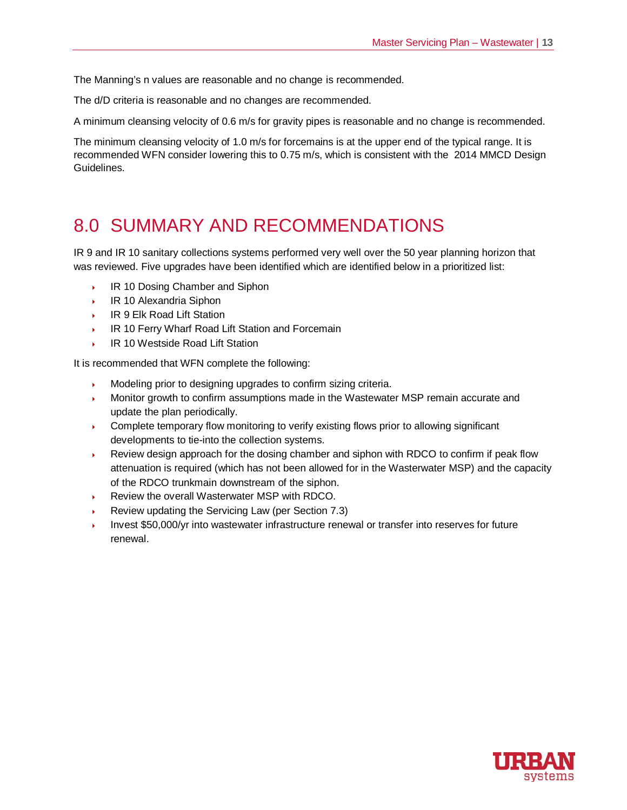The Manning's n values are reasonable and no change is recommended.

The d/D criteria is reasonable and no changes are recommended.

A minimum cleansing velocity of 0.6 m/s for gravity pipes is reasonable and no change is recommended.

The minimum cleansing velocity of 1.0 m/s for forcemains is at the upper end of the typical range. It is recommended WFN consider lowering this to 0.75 m/s, which is consistent with the 2014 MMCD Design Guidelines.

# 8.0 SUMMARY AND RECOMMENDATIONS

IR 9 and IR 10 sanitary collections systems performed very well over the 50 year planning horizon that was reviewed. Five upgrades have been identified which are identified below in a prioritized list:

- ▶ IR 10 Dosing Chamber and Siphon
- IR 10 Alexandria Siphon
- ▶ IR 9 Elk Road Lift Station
- IR 10 Ferry Wharf Road Lift Station and Forcemain
- **IR 10 Westside Road Lift Station**

It is recommended that WFN complete the following:

- Modeling prior to designing upgrades to confirm sizing criteria.
- } Monitor growth to confirm assumptions made in the Wastewater MSP remain accurate and update the plan periodically.
- $\longrightarrow$  Complete temporary flow monitoring to verify existing flows prior to allowing significant developments to tie-into the collection systems.
- $\rightarrow$  Review design approach for the dosing chamber and siphon with RDCO to confirm if peak flow attenuation is required (which has not been allowed for in the Wasterwater MSP) and the capacity of the RDCO trunkmain downstream of the siphon.
- Review the overall Wasterwater MSP with RDCO.
- Review updating the Servicing Law (per Section 7.3)
- } Invest \$50,000/yr into wastewater infrastructure renewal or transfer into reserves for future renewal.

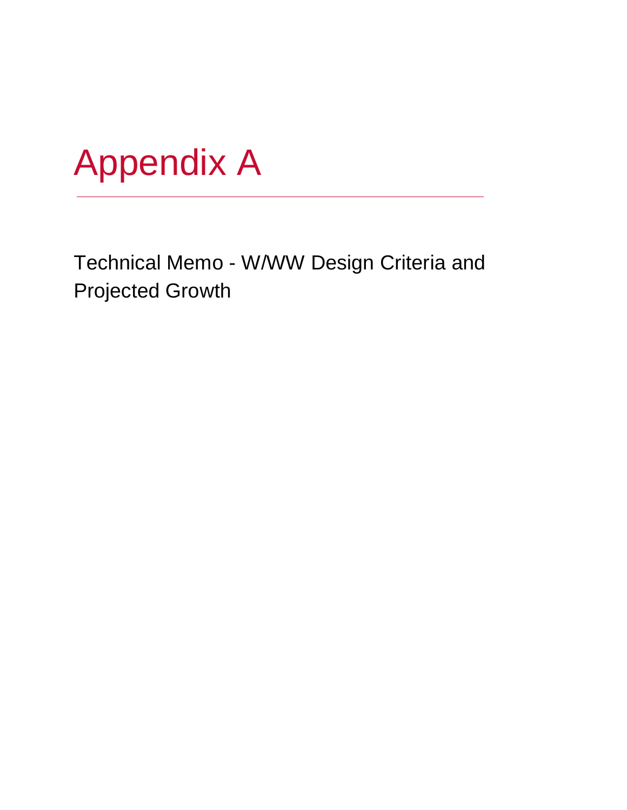

Technical Memo - W/WW Design Criteria and Projected Growth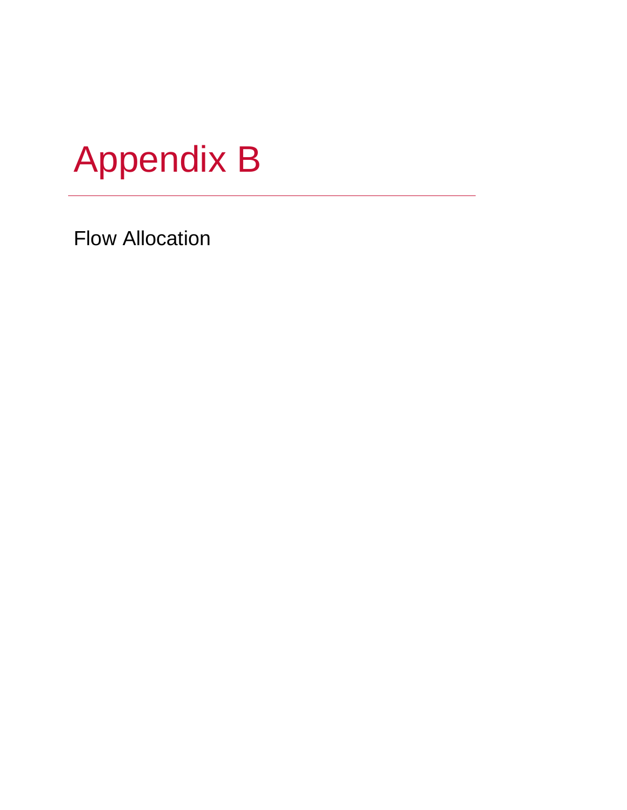

Flow Allocation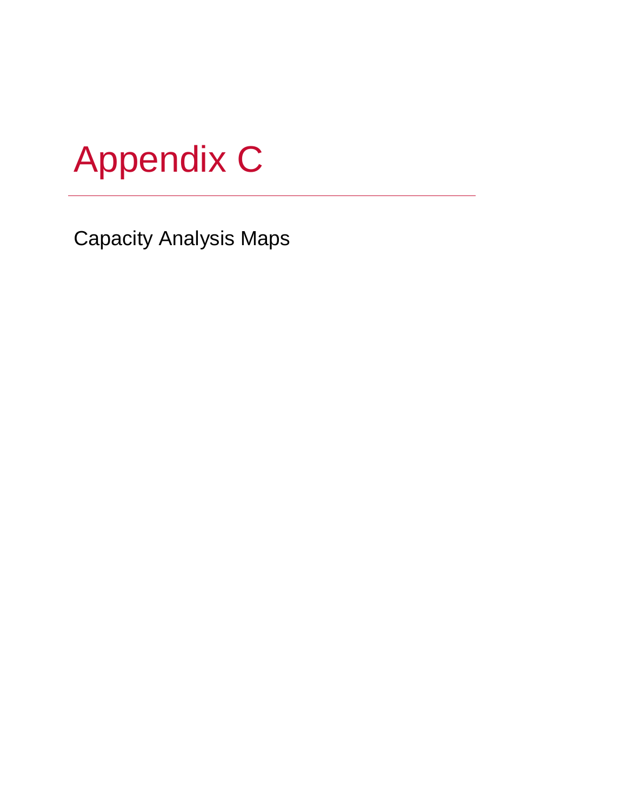

Capacity Analysis Maps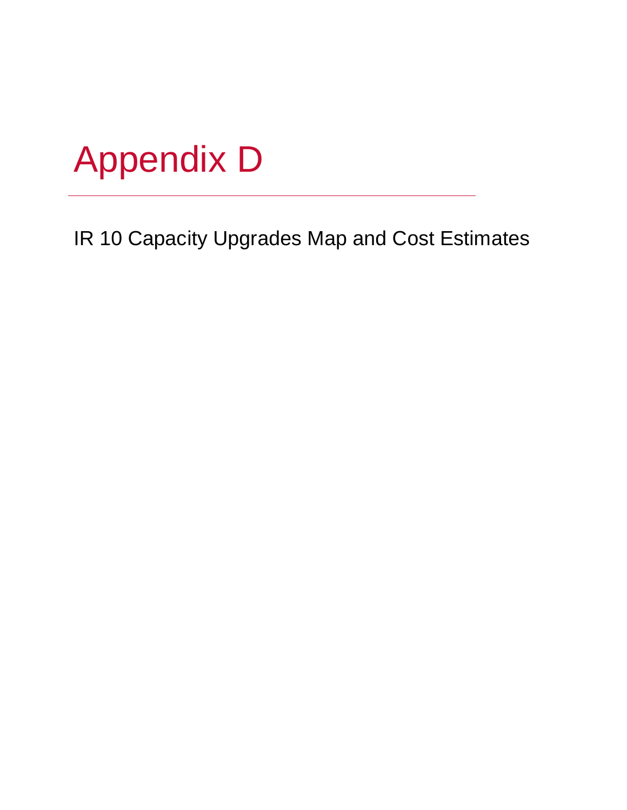

IR 10 Capacity Upgrades Map and Cost Estimates